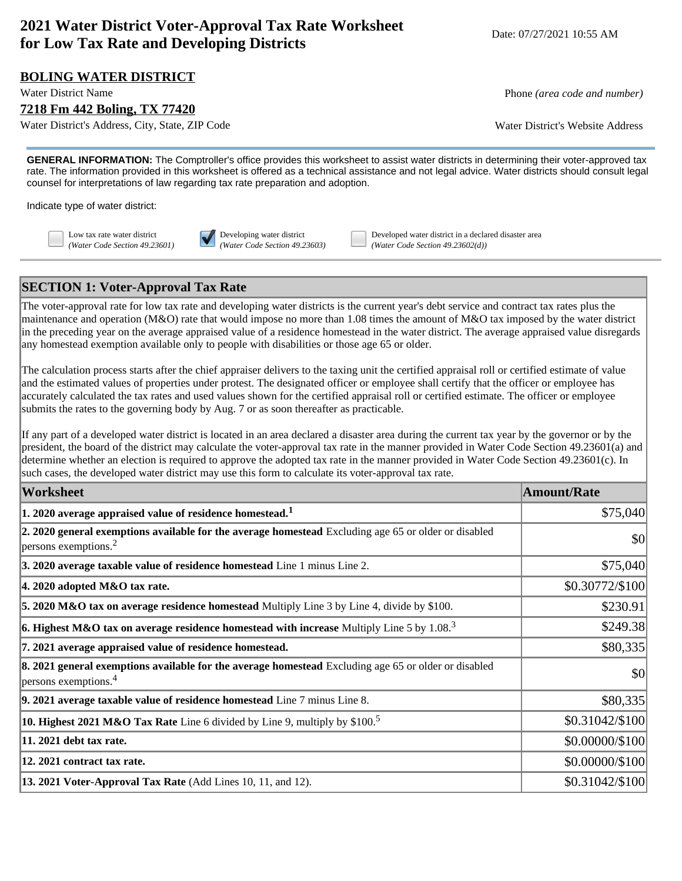# **2021 Water District Voter-Approval Tax Rate Worksheet for Low Tax Rate and Developing Districts** Date: 07/27/2021 10:55 AM

### **BOLING WATER DISTRICT**

#### **7218 Fm 442 Boling, TX 77420**

Water District's Address, City, State, ZIP Code Water District's Website Address

Water District Name **Phone** *(area code and number)* **Phone** *(area code and number)* **Phone** *(area code and number)* 

**GENERAL INFORMATION:** The Comptroller's office provides this worksheet to assist water districts in determining their voter-approved tax rate. The information provided in this worksheet is offered as a technical assistance and not legal advice. Water districts should consult legal counsel for interpretations of law regarding tax rate preparation and adoption.

Indicate type of water district:



Low tax rate water district **Developing water district** Developed water district in a declared disaster area *(Water Code Section 49.23601) (Water Code Section 49.23603) (Water Code Section 49.23602(d))*

### **SECTION 1: Voter-Approval Tax Rate**

The voter-approval rate for low tax rate and developing water districts is the current year's debt service and contract tax rates plus the maintenance and operation (M&O) rate that would impose no more than 1.08 times the amount of M&O tax imposed by the water district in the preceding year on the average appraised value of a residence homestead in the water district. The average appraised value disregards any homestead exemption available only to people with disabilities or those age 65 or older.

The calculation process starts after the chief appraiser delivers to the taxing unit the certified appraisal roll or certified estimate of value and the estimated values of properties under protest. The designated officer or employee shall certify that the officer or employee has accurately calculated the tax rates and used values shown for the certified appraisal roll or certified estimate. The officer or employee submits the rates to the governing body by Aug. 7 or as soon thereafter as practicable.

If any part of a developed water district is located in an area declared a disaster area during the current tax year by the governor or by the president, the board of the district may calculate the voter-approval tax rate in the manner provided in Water Code Section 49.23601(a) and determine whether an election is required to approve the adopted tax rate in the manner provided in Water Code Section 49.23601(c). In such cases, the developed water district may use this form to calculate its voter-approval tax rate.

| Worksheet                                                                                                                                    | <b>Amount/Rate</b> |
|----------------------------------------------------------------------------------------------------------------------------------------------|--------------------|
| $ 1$ . 2020 average appraised value of residence homestead. $^1$                                                                             | \$75,040           |
| 2. 2020 general exemptions available for the average homestead Excluding age 65 or older or disabled<br>$ p$ ersons exemptions. <sup>2</sup> | \$0                |
| 3. 2020 average taxable value of residence homestead Line 1 minus Line 2.                                                                    | \$75,040           |
| $ 4.2020$ adopted M&O tax rate.                                                                                                              | \$0.30772/\$100    |
| 5. 2020 M&O tax on average residence homestead Multiply Line 3 by Line 4, divide by \$100.                                                   | \$230.91           |
| <b>6. Highest M&amp;O tax on average residence homestead with increase</b> Multiply Line 5 by 1.08. <sup>3</sup>                             | \$249.38           |
| 7. 2021 average appraised value of residence homestead.                                                                                      | \$80,335           |
| 8. 2021 general exemptions available for the average homestead Excluding age 65 or older or disabled<br>$ $ persons exemptions. <sup>4</sup> | \$0                |
| $\vert$ 9. 2021 average taxable value of residence homestead Line $7$ minus Line 8.                                                          | \$80,335           |
| <b>10. Highest 2021 M&amp;O Tax Rate</b> Line 6 divided by Line 9, multiply by \$100. <sup>5</sup>                                           | \$0.31042/\$100    |
| 11. 2021 debt tax rate.                                                                                                                      | \$0.00000/\$100    |
| 12. 2021 contract tax rate.                                                                                                                  | \$0.00000/\$100    |
| 13. 2021 Voter-Approval Tax Rate (Add Lines 10, 11, and 12).                                                                                 | \$0.31042/\$100    |